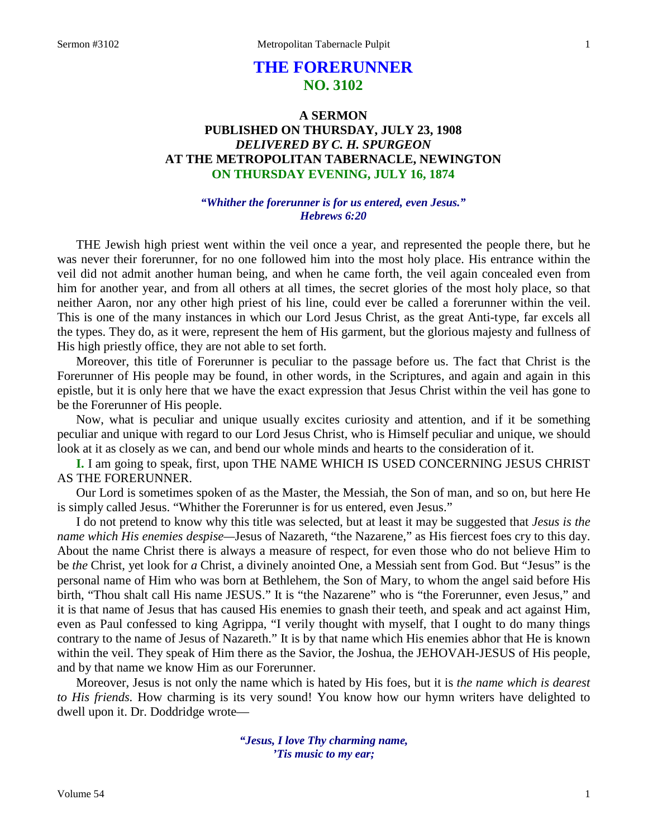# **THE FORERUNNER NO. 3102**

## **A SERMON PUBLISHED ON THURSDAY, JULY 23, 1908** *DELIVERED BY C. H. SPURGEON* **AT THE METROPOLITAN TABERNACLE, NEWINGTON ON THURSDAY EVENING, JULY 16, 1874**

#### *"Whither the forerunner is for us entered, even Jesus." Hebrews 6:20*

THE Jewish high priest went within the veil once a year, and represented the people there, but he was never their forerunner, for no one followed him into the most holy place. His entrance within the veil did not admit another human being, and when he came forth, the veil again concealed even from him for another year, and from all others at all times, the secret glories of the most holy place, so that neither Aaron, nor any other high priest of his line, could ever be called a forerunner within the veil. This is one of the many instances in which our Lord Jesus Christ, as the great Anti-type, far excels all the types. They do, as it were, represent the hem of His garment, but the glorious majesty and fullness of His high priestly office, they are not able to set forth.

Moreover, this title of Forerunner is peculiar to the passage before us. The fact that Christ is the Forerunner of His people may be found, in other words, in the Scriptures, and again and again in this epistle, but it is only here that we have the exact expression that Jesus Christ within the veil has gone to be the Forerunner of His people.

Now, what is peculiar and unique usually excites curiosity and attention, and if it be something peculiar and unique with regard to our Lord Jesus Christ, who is Himself peculiar and unique, we should look at it as closely as we can, and bend our whole minds and hearts to the consideration of it.

**I.** I am going to speak, first, upon THE NAME WHICH IS USED CONCERNING JESUS CHRIST AS THE FORERUNNER.

Our Lord is sometimes spoken of as the Master, the Messiah, the Son of man, and so on, but here He is simply called Jesus. "Whither the Forerunner is for us entered, even Jesus."

I do not pretend to know why this title was selected, but at least it may be suggested that *Jesus is the name which His enemies despise—*Jesus of Nazareth, "the Nazarene," as His fiercest foes cry to this day. About the name Christ there is always a measure of respect, for even those who do not believe Him to be *the* Christ, yet look for *a* Christ, a divinely anointed One, a Messiah sent from God. But "Jesus" is the personal name of Him who was born at Bethlehem, the Son of Mary, to whom the angel said before His birth, "Thou shalt call His name JESUS." It is "the Nazarene" who is "the Forerunner, even Jesus," and it is that name of Jesus that has caused His enemies to gnash their teeth, and speak and act against Him, even as Paul confessed to king Agrippa, "I verily thought with myself, that I ought to do many things contrary to the name of Jesus of Nazareth." It is by that name which His enemies abhor that He is known within the veil. They speak of Him there as the Savior, the Joshua, the JEHOVAH-JESUS of His people, and by that name we know Him as our Forerunner.

Moreover, Jesus is not only the name which is hated by His foes, but it is *the name which is dearest to His friends.* How charming is its very sound! You know how our hymn writers have delighted to dwell upon it. Dr. Doddridge wrote—

> *"Jesus, I love Thy charming name, 'Tis music to my ear;*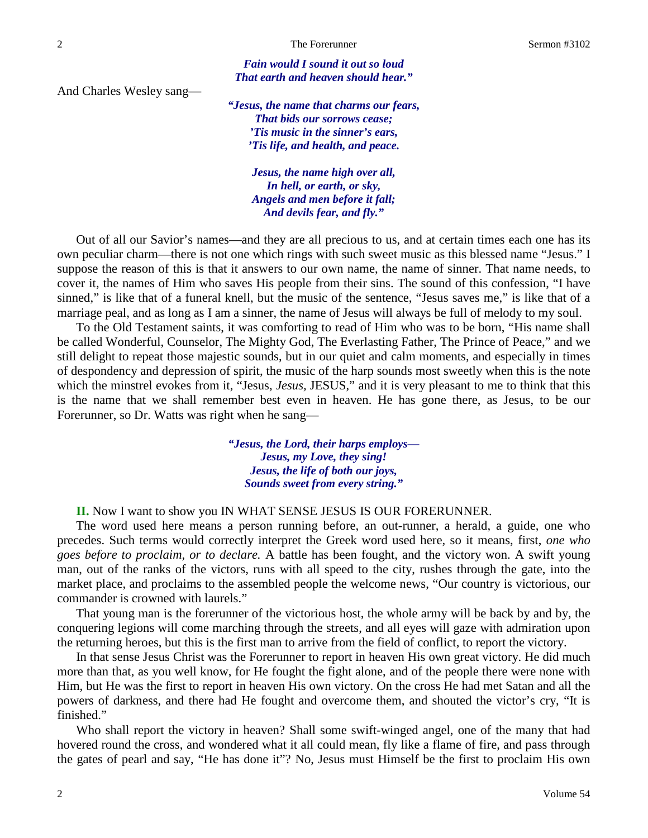2 The Forerunner Sermon #3102

*Fain would I sound it out so loud That earth and heaven should hear."*

And Charles Wesley sang—

*"Jesus, the name that charms our fears, That bids our sorrows cease; 'Tis music in the sinner's ears, 'Tis life, and health, and peace.*

> *Jesus, the name high over all, In hell, or earth, or sky, Angels and men before it fall; And devils fear, and fly."*

Out of all our Savior's names—and they are all precious to us, and at certain times each one has its own peculiar charm—there is not one which rings with such sweet music as this blessed name "Jesus." I suppose the reason of this is that it answers to our own name, the name of sinner. That name needs, to cover it, the names of Him who saves His people from their sins. The sound of this confession, "I have sinned," is like that of a funeral knell, but the music of the sentence, "Jesus saves me," is like that of a marriage peal, and as long as I am a sinner, the name of Jesus will always be full of melody to my soul.

To the Old Testament saints, it was comforting to read of Him who was to be born, "His name shall be called Wonderful, Counselor, The Mighty God, The Everlasting Father, The Prince of Peace," and we still delight to repeat those majestic sounds, but in our quiet and calm moments, and especially in times of despondency and depression of spirit, the music of the harp sounds most sweetly when this is the note which the minstrel evokes from it, "Jesus, *Jesus*, JESUS," and it is very pleasant to me to think that this is the name that we shall remember best even in heaven. He has gone there, as Jesus, to be our Forerunner, so Dr. Watts was right when he sang—

> *"Jesus, the Lord, their harps employs— Jesus, my Love, they sing! Jesus, the life of both our joys, Sounds sweet from every string."*

**II.** Now I want to show you IN WHAT SENSE JESUS IS OUR FORERUNNER.

The word used here means a person running before, an out-runner, a herald, a guide, one who precedes. Such terms would correctly interpret the Greek word used here, so it means, first, *one who goes before to proclaim, or to declare.* A battle has been fought, and the victory won. A swift young man, out of the ranks of the victors, runs with all speed to the city, rushes through the gate, into the market place, and proclaims to the assembled people the welcome news, "Our country is victorious, our commander is crowned with laurels."

That young man is the forerunner of the victorious host, the whole army will be back by and by, the conquering legions will come marching through the streets, and all eyes will gaze with admiration upon the returning heroes, but this is the first man to arrive from the field of conflict, to report the victory.

In that sense Jesus Christ was the Forerunner to report in heaven His own great victory. He did much more than that, as you well know, for He fought the fight alone, and of the people there were none with Him, but He was the first to report in heaven His own victory. On the cross He had met Satan and all the powers of darkness, and there had He fought and overcome them, and shouted the victor's cry, "It is finished."

Who shall report the victory in heaven? Shall some swift-winged angel, one of the many that had hovered round the cross, and wondered what it all could mean, fly like a flame of fire, and pass through the gates of pearl and say, "He has done it"? No, Jesus must Himself be the first to proclaim His own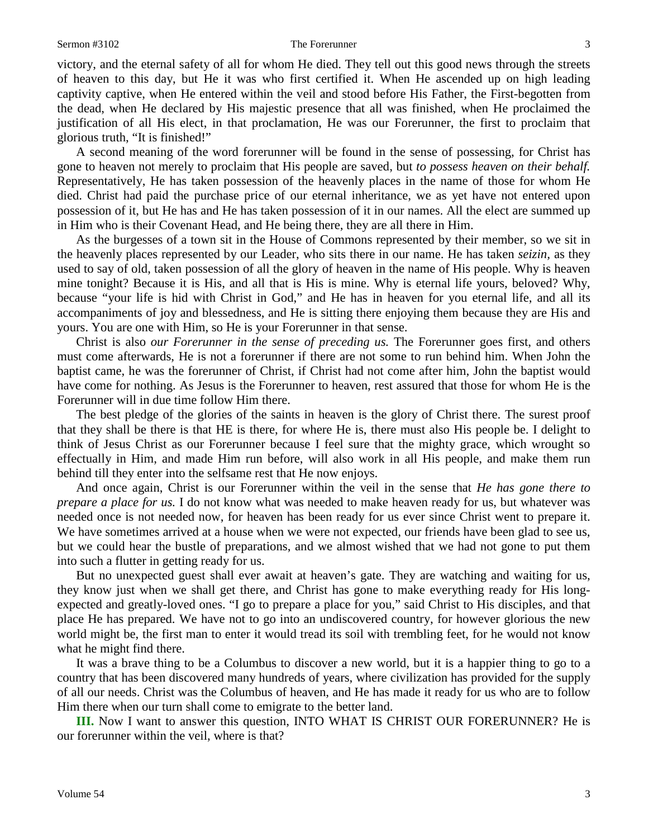#### Sermon #3102 The Forerunner 3

victory, and the eternal safety of all for whom He died. They tell out this good news through the streets of heaven to this day, but He it was who first certified it. When He ascended up on high leading captivity captive, when He entered within the veil and stood before His Father, the First-begotten from the dead, when He declared by His majestic presence that all was finished, when He proclaimed the justification of all His elect, in that proclamation, He was our Forerunner, the first to proclaim that glorious truth, "It is finished!"

A second meaning of the word forerunner will be found in the sense of possessing, for Christ has gone to heaven not merely to proclaim that His people are saved, but *to possess heaven on their behalf.*  Representatively, He has taken possession of the heavenly places in the name of those for whom He died. Christ had paid the purchase price of our eternal inheritance, we as yet have not entered upon possession of it, but He has and He has taken possession of it in our names. All the elect are summed up in Him who is their Covenant Head, and He being there, they are all there in Him.

As the burgesses of a town sit in the House of Commons represented by their member, so we sit in the heavenly places represented by our Leader, who sits there in our name. He has taken *seizin,* as they used to say of old, taken possession of all the glory of heaven in the name of His people. Why is heaven mine tonight? Because it is His, and all that is His is mine. Why is eternal life yours, beloved? Why, because "your life is hid with Christ in God," and He has in heaven for you eternal life, and all its accompaniments of joy and blessedness, and He is sitting there enjoying them because they are His and yours. You are one with Him, so He is your Forerunner in that sense.

Christ is also *our Forerunner in the sense of preceding us.* The Forerunner goes first, and others must come afterwards, He is not a forerunner if there are not some to run behind him. When John the baptist came, he was the forerunner of Christ, if Christ had not come after him, John the baptist would have come for nothing. As Jesus is the Forerunner to heaven, rest assured that those for whom He is the Forerunner will in due time follow Him there.

The best pledge of the glories of the saints in heaven is the glory of Christ there. The surest proof that they shall be there is that HE is there, for where He is, there must also His people be. I delight to think of Jesus Christ as our Forerunner because I feel sure that the mighty grace, which wrought so effectually in Him, and made Him run before, will also work in all His people, and make them run behind till they enter into the selfsame rest that He now enjoys.

And once again, Christ is our Forerunner within the veil in the sense that *He has gone there to prepare a place for us.* I do not know what was needed to make heaven ready for us, but whatever was needed once is not needed now, for heaven has been ready for us ever since Christ went to prepare it. We have sometimes arrived at a house when we were not expected, our friends have been glad to see us, but we could hear the bustle of preparations, and we almost wished that we had not gone to put them into such a flutter in getting ready for us.

But no unexpected guest shall ever await at heaven's gate. They are watching and waiting for us, they know just when we shall get there, and Christ has gone to make everything ready for His longexpected and greatly-loved ones. "I go to prepare a place for you," said Christ to His disciples, and that place He has prepared. We have not to go into an undiscovered country, for however glorious the new world might be, the first man to enter it would tread its soil with trembling feet, for he would not know what he might find there.

It was a brave thing to be a Columbus to discover a new world, but it is a happier thing to go to a country that has been discovered many hundreds of years, where civilization has provided for the supply of all our needs. Christ was the Columbus of heaven, and He has made it ready for us who are to follow Him there when our turn shall come to emigrate to the better land.

**III.** Now I want to answer this question, INTO WHAT IS CHRIST OUR FORERUNNER? He is our forerunner within the veil, where is that?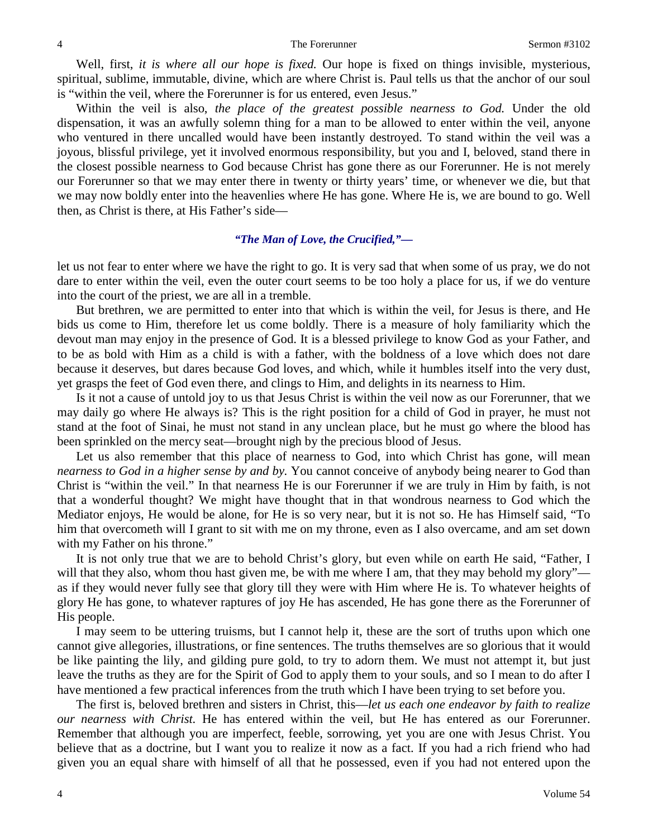Well, first, *it is where all our hope is fixed.* Our hope is fixed on things invisible, mysterious, spiritual, sublime, immutable, divine, which are where Christ is. Paul tells us that the anchor of our soul is "within the veil, where the Forerunner is for us entered, even Jesus."

Within the veil is also, *the place of the greatest possible nearness to God.* Under the old dispensation, it was an awfully solemn thing for a man to be allowed to enter within the veil, anyone who ventured in there uncalled would have been instantly destroyed. To stand within the veil was a joyous, blissful privilege, yet it involved enormous responsibility, but you and I, beloved, stand there in the closest possible nearness to God because Christ has gone there as our Forerunner. He is not merely our Forerunner so that we may enter there in twenty or thirty years' time, or whenever we die, but that we may now boldly enter into the heavenlies where He has gone. Where He is, we are bound to go. Well then, as Christ is there, at His Father's side—

#### *"The Man of Love, the Crucified,"—*

let us not fear to enter where we have the right to go. It is very sad that when some of us pray, we do not dare to enter within the veil, even the outer court seems to be too holy a place for us, if we do venture into the court of the priest, we are all in a tremble.

But brethren, we are permitted to enter into that which is within the veil, for Jesus is there, and He bids us come to Him, therefore let us come boldly. There is a measure of holy familiarity which the devout man may enjoy in the presence of God. It is a blessed privilege to know God as your Father, and to be as bold with Him as a child is with a father, with the boldness of a love which does not dare because it deserves, but dares because God loves, and which, while it humbles itself into the very dust, yet grasps the feet of God even there, and clings to Him, and delights in its nearness to Him.

Is it not a cause of untold joy to us that Jesus Christ is within the veil now as our Forerunner, that we may daily go where He always is? This is the right position for a child of God in prayer, he must not stand at the foot of Sinai, he must not stand in any unclean place, but he must go where the blood has been sprinkled on the mercy seat—brought nigh by the precious blood of Jesus.

Let us also remember that this place of nearness to God, into which Christ has gone, will mean *nearness to God in a higher sense by and by.* You cannot conceive of anybody being nearer to God than Christ is "within the veil." In that nearness He is our Forerunner if we are truly in Him by faith, is not that a wonderful thought? We might have thought that in that wondrous nearness to God which the Mediator enjoys, He would be alone, for He is so very near, but it is not so. He has Himself said, "To him that overcometh will I grant to sit with me on my throne, even as I also overcame, and am set down with my Father on his throne."

It is not only true that we are to behold Christ's glory, but even while on earth He said, "Father, I will that they also, whom thou hast given me, be with me where I am, that they may behold my glory" as if they would never fully see that glory till they were with Him where He is. To whatever heights of glory He has gone, to whatever raptures of joy He has ascended, He has gone there as the Forerunner of His people.

I may seem to be uttering truisms, but I cannot help it, these are the sort of truths upon which one cannot give allegories, illustrations, or fine sentences. The truths themselves are so glorious that it would be like painting the lily, and gilding pure gold, to try to adorn them. We must not attempt it, but just leave the truths as they are for the Spirit of God to apply them to your souls, and so I mean to do after I have mentioned a few practical inferences from the truth which I have been trying to set before you.

The first is, beloved brethren and sisters in Christ, this—*let us each one endeavor by faith to realize our nearness with Christ.* He has entered within the veil, but He has entered as our Forerunner. Remember that although you are imperfect, feeble, sorrowing, yet you are one with Jesus Christ. You believe that as a doctrine, but I want you to realize it now as a fact. If you had a rich friend who had given you an equal share with himself of all that he possessed, even if you had not entered upon the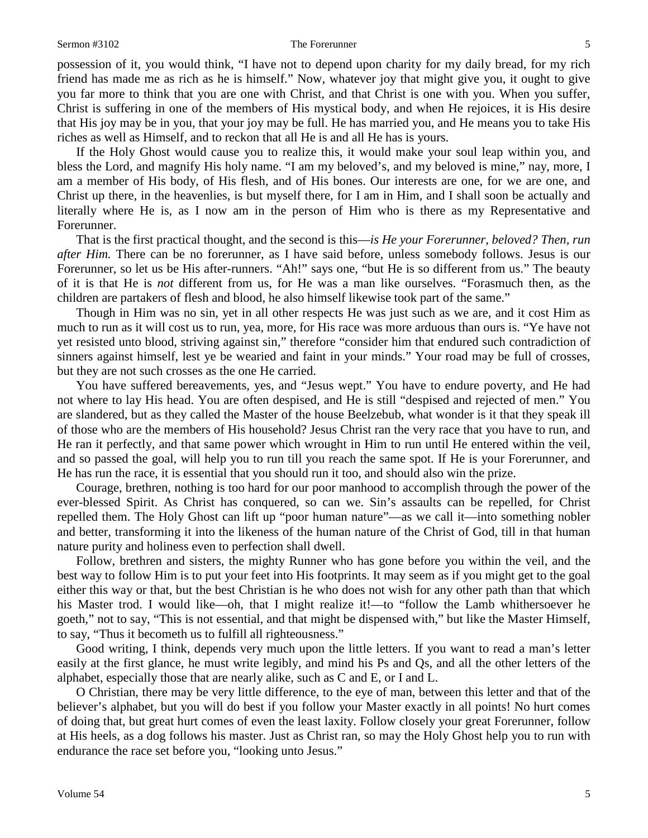possession of it, you would think, "I have not to depend upon charity for my daily bread, for my rich friend has made me as rich as he is himself." Now, whatever joy that might give you, it ought to give you far more to think that you are one with Christ, and that Christ is one with you. When you suffer, Christ is suffering in one of the members of His mystical body, and when He rejoices, it is His desire that His joy may be in you, that your joy may be full. He has married you, and He means you to take His riches as well as Himself, and to reckon that all He is and all He has is yours.

If the Holy Ghost would cause you to realize this, it would make your soul leap within you, and bless the Lord, and magnify His holy name. "I am my beloved's, and my beloved is mine," nay, more, I am a member of His body, of His flesh, and of His bones. Our interests are one, for we are one, and Christ up there, in the heavenlies, is but myself there, for I am in Him, and I shall soon be actually and literally where He is, as I now am in the person of Him who is there as my Representative and Forerunner.

That is the first practical thought, and the second is this—*is He your Forerunner, beloved? Then, run after Him.* There can be no forerunner, as I have said before, unless somebody follows. Jesus is our Forerunner, so let us be His after-runners. "Ah!" says one, "but He is so different from us." The beauty of it is that He is *not* different from us, for He was a man like ourselves. "Forasmuch then, as the children are partakers of flesh and blood, he also himself likewise took part of the same."

Though in Him was no sin, yet in all other respects He was just such as we are, and it cost Him as much to run as it will cost us to run, yea, more, for His race was more arduous than ours is. "Ye have not yet resisted unto blood, striving against sin," therefore "consider him that endured such contradiction of sinners against himself, lest ye be wearied and faint in your minds." Your road may be full of crosses, but they are not such crosses as the one He carried.

You have suffered bereavements, yes, and "Jesus wept." You have to endure poverty, and He had not where to lay His head. You are often despised, and He is still "despised and rejected of men." You are slandered, but as they called the Master of the house Beelzebub, what wonder is it that they speak ill of those who are the members of His household? Jesus Christ ran the very race that you have to run, and He ran it perfectly, and that same power which wrought in Him to run until He entered within the veil, and so passed the goal, will help you to run till you reach the same spot. If He is your Forerunner, and He has run the race, it is essential that you should run it too, and should also win the prize.

Courage, brethren, nothing is too hard for our poor manhood to accomplish through the power of the ever-blessed Spirit. As Christ has conquered, so can we. Sin's assaults can be repelled, for Christ repelled them. The Holy Ghost can lift up "poor human nature"—as we call it—into something nobler and better, transforming it into the likeness of the human nature of the Christ of God, till in that human nature purity and holiness even to perfection shall dwell.

Follow, brethren and sisters, the mighty Runner who has gone before you within the veil, and the best way to follow Him is to put your feet into His footprints. It may seem as if you might get to the goal either this way or that, but the best Christian is he who does not wish for any other path than that which his Master trod. I would like—oh, that I might realize it!—to "follow the Lamb whithersoever he goeth," not to say, "This is not essential, and that might be dispensed with," but like the Master Himself, to say, "Thus it becometh us to fulfill all righteousness."

Good writing, I think, depends very much upon the little letters. If you want to read a man's letter easily at the first glance, he must write legibly, and mind his Ps and Qs, and all the other letters of the alphabet, especially those that are nearly alike, such as C and E, or I and L.

O Christian, there may be very little difference, to the eye of man, between this letter and that of the believer's alphabet, but you will do best if you follow your Master exactly in all points! No hurt comes of doing that, but great hurt comes of even the least laxity. Follow closely your great Forerunner, follow at His heels, as a dog follows his master. Just as Christ ran, so may the Holy Ghost help you to run with endurance the race set before you, "looking unto Jesus."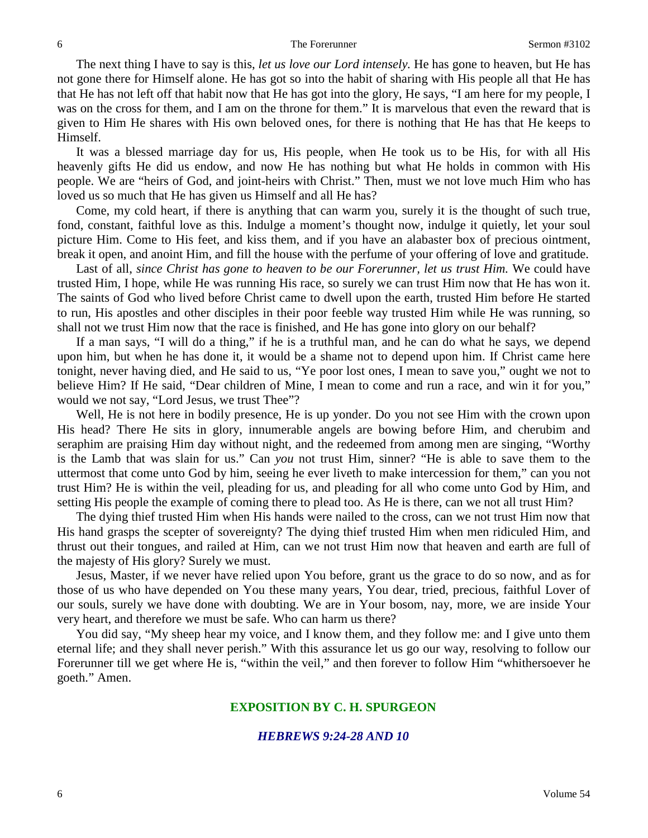The next thing I have to say is this, *let us love our Lord intensely.* He has gone to heaven, but He has not gone there for Himself alone. He has got so into the habit of sharing with His people all that He has that He has not left off that habit now that He has got into the glory, He says, "I am here for my people, I was on the cross for them, and I am on the throne for them." It is marvelous that even the reward that is given to Him He shares with His own beloved ones, for there is nothing that He has that He keeps to Himself.

It was a blessed marriage day for us, His people, when He took us to be His, for with all His heavenly gifts He did us endow, and now He has nothing but what He holds in common with His people. We are "heirs of God, and joint-heirs with Christ." Then, must we not love much Him who has loved us so much that He has given us Himself and all He has?

Come, my cold heart, if there is anything that can warm you, surely it is the thought of such true, fond, constant, faithful love as this. Indulge a moment's thought now, indulge it quietly, let your soul picture Him. Come to His feet, and kiss them, and if you have an alabaster box of precious ointment, break it open, and anoint Him, and fill the house with the perfume of your offering of love and gratitude.

Last of all, *since Christ has gone to heaven to be our Forerunner, let us trust Him.* We could have trusted Him, I hope, while He was running His race, so surely we can trust Him now that He has won it. The saints of God who lived before Christ came to dwell upon the earth, trusted Him before He started to run, His apostles and other disciples in their poor feeble way trusted Him while He was running, so shall not we trust Him now that the race is finished, and He has gone into glory on our behalf?

If a man says, "I will do a thing," if he is a truthful man, and he can do what he says, we depend upon him, but when he has done it, it would be a shame not to depend upon him. If Christ came here tonight, never having died, and He said to us, "Ye poor lost ones, I mean to save you," ought we not to believe Him? If He said, "Dear children of Mine, I mean to come and run a race, and win it for you," would we not say, "Lord Jesus, we trust Thee"?

Well, He is not here in bodily presence, He is up yonder. Do you not see Him with the crown upon His head? There He sits in glory, innumerable angels are bowing before Him, and cherubim and seraphim are praising Him day without night, and the redeemed from among men are singing, "Worthy is the Lamb that was slain for us." Can *you* not trust Him, sinner? "He is able to save them to the uttermost that come unto God by him, seeing he ever liveth to make intercession for them," can you not trust Him? He is within the veil, pleading for us, and pleading for all who come unto God by Him, and setting His people the example of coming there to plead too. As He is there, can we not all trust Him?

The dying thief trusted Him when His hands were nailed to the cross, can we not trust Him now that His hand grasps the scepter of sovereignty? The dying thief trusted Him when men ridiculed Him, and thrust out their tongues, and railed at Him, can we not trust Him now that heaven and earth are full of the majesty of His glory? Surely we must.

Jesus, Master, if we never have relied upon You before, grant us the grace to do so now, and as for those of us who have depended on You these many years, You dear, tried, precious, faithful Lover of our souls, surely we have done with doubting. We are in Your bosom, nay, more, we are inside Your very heart, and therefore we must be safe. Who can harm us there?

You did say, "My sheep hear my voice, and I know them, and they follow me: and I give unto them eternal life; and they shall never perish." With this assurance let us go our way, resolving to follow our Forerunner till we get where He is, "within the veil," and then forever to follow Him "whithersoever he goeth." Amen.

#### **EXPOSITION BY C. H. SPURGEON**

#### *HEBREWS 9:24-28 AND 10*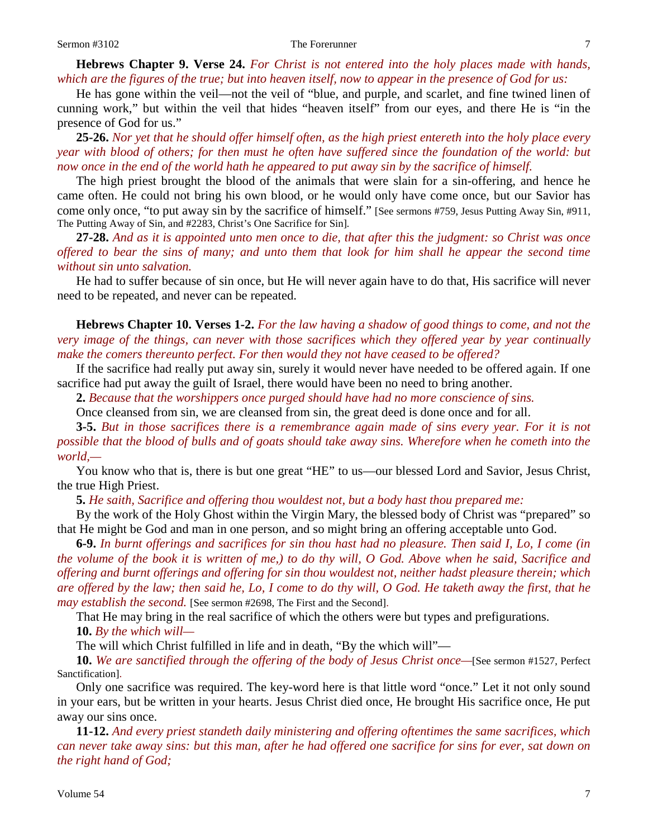**Hebrews Chapter 9. Verse 24.** *For Christ is not entered into the holy places made with hands, which are the figures of the true; but into heaven itself, now to appear in the presence of God for us:*

He has gone within the veil—not the veil of "blue, and purple, and scarlet, and fine twined linen of cunning work," but within the veil that hides "heaven itself" from our eyes, and there He is "in the presence of God for us."

**25-26.** *Nor yet that he should offer himself often, as the high priest entereth into the holy place every year with blood of others; for then must he often have suffered since the foundation of the world: but now once in the end of the world hath he appeared to put away sin by the sacrifice of himself.*

The high priest brought the blood of the animals that were slain for a sin-offering, and hence he came often. He could not bring his own blood, or he would only have come once, but our Savior has come only once, "to put away sin by the sacrifice of himself." [See sermons #759, Jesus Putting Away Sin, #911, The Putting Away of Sin, and #2283, Christ's One Sacrifice for Sin]*.*

**27-28.** *And as it is appointed unto men once to die, that after this the judgment: so Christ was once offered to bear the sins of many; and unto them that look for him shall he appear the second time without sin unto salvation.*

He had to suffer because of sin once, but He will never again have to do that, His sacrifice will never need to be repeated, and never can be repeated.

**Hebrews Chapter 10. Verses 1-2.** *For the law having a shadow of good things to come, and not the very image of the things, can never with those sacrifices which they offered year by year continually make the comers thereunto perfect. For then would they not have ceased to be offered?*

If the sacrifice had really put away sin, surely it would never have needed to be offered again. If one sacrifice had put away the guilt of Israel, there would have been no need to bring another.

**2.** *Because that the worshippers once purged should have had no more conscience of sins.*

Once cleansed from sin, we are cleansed from sin, the great deed is done once and for all.

**3-5.** *But in those sacrifices there is a remembrance again made of sins every year. For it is not possible that the blood of bulls and of goats should take away sins. Wherefore when he cometh into the world,—*

You know who that is, there is but one great "HE" to us—our blessed Lord and Savior, Jesus Christ, the true High Priest.

**5.** *He saith, Sacrifice and offering thou wouldest not, but a body hast thou prepared me:*

By the work of the Holy Ghost within the Virgin Mary, the blessed body of Christ was "prepared" so that He might be God and man in one person, and so might bring an offering acceptable unto God.

**6-9.** *In burnt offerings and sacrifices for sin thou hast had no pleasure. Then said I, Lo, I come (in the volume of the book it is written of me,) to do thy will, O God. Above when he said, Sacrifice and offering and burnt offerings and offering for sin thou wouldest not, neither hadst pleasure therein; which are offered by the law; then said he, Lo, I come to do thy will, O God. He taketh away the first, that he may establish the second.* [See sermon #2698, The First and the Second].

That He may bring in the real sacrifice of which the others were but types and prefigurations.

**10.** *By the which will—*

The will which Christ fulfilled in life and in death, "By the which will"—

**10.** *We are sanctified through the offering of the body of Jesus Christ once—*[See sermon #1527, Perfect Sanctification].

Only one sacrifice was required. The key-word here is that little word "once." Let it not only sound in your ears, but be written in your hearts. Jesus Christ died once, He brought His sacrifice once, He put away our sins once.

**11-12.** *And every priest standeth daily ministering and offering oftentimes the same sacrifices, which can never take away sins: but this man, after he had offered one sacrifice for sins for ever, sat down on the right hand of God;*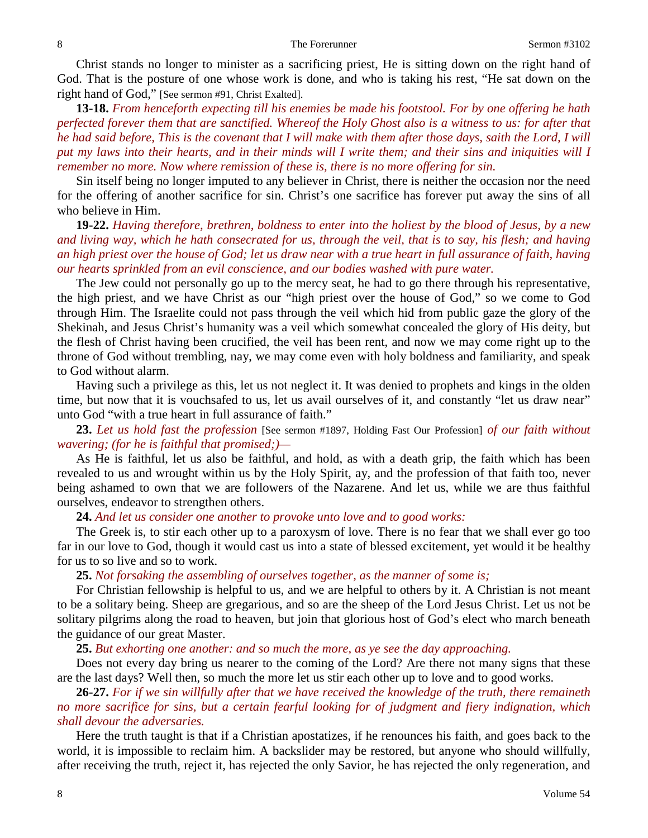Christ stands no longer to minister as a sacrificing priest, He is sitting down on the right hand of God. That is the posture of one whose work is done, and who is taking his rest, "He sat down on the right hand of God," [See sermon #91, Christ Exalted].

**13-18.** *From henceforth expecting till his enemies be made his footstool. For by one offering he hath perfected forever them that are sanctified. Whereof the Holy Ghost also is a witness to us: for after that he had said before, This is the covenant that I will make with them after those days, saith the Lord, I will put my laws into their hearts, and in their minds will I write them; and their sins and iniquities will I remember no more. Now where remission of these is, there is no more offering for sin.*

Sin itself being no longer imputed to any believer in Christ, there is neither the occasion nor the need for the offering of another sacrifice for sin. Christ's one sacrifice has forever put away the sins of all who believe in Him.

**19-22.** *Having therefore, brethren, boldness to enter into the holiest by the blood of Jesus, by a new and living way, which he hath consecrated for us, through the veil, that is to say, his flesh; and having an high priest over the house of God; let us draw near with a true heart in full assurance of faith, having our hearts sprinkled from an evil conscience, and our bodies washed with pure water.*

The Jew could not personally go up to the mercy seat, he had to go there through his representative, the high priest, and we have Christ as our "high priest over the house of God," so we come to God through Him. The Israelite could not pass through the veil which hid from public gaze the glory of the Shekinah, and Jesus Christ's humanity was a veil which somewhat concealed the glory of His deity, but the flesh of Christ having been crucified, the veil has been rent, and now we may come right up to the throne of God without trembling, nay, we may come even with holy boldness and familiarity, and speak to God without alarm.

Having such a privilege as this, let us not neglect it. It was denied to prophets and kings in the olden time, but now that it is vouchsafed to us, let us avail ourselves of it, and constantly "let us draw near" unto God "with a true heart in full assurance of faith."

**23.** *Let us hold fast the profession* [See sermon #1897, Holding Fast Our Profession] *of our faith without wavering; (for he is faithful that promised;)—*

As He is faithful, let us also be faithful, and hold, as with a death grip, the faith which has been revealed to us and wrought within us by the Holy Spirit, ay, and the profession of that faith too, never being ashamed to own that we are followers of the Nazarene. And let us, while we are thus faithful ourselves, endeavor to strengthen others.

**24.** *And let us consider one another to provoke unto love and to good works:*

The Greek is, to stir each other up to a paroxysm of love. There is no fear that we shall ever go too far in our love to God, though it would cast us into a state of blessed excitement, yet would it be healthy for us to so live and so to work.

**25.** *Not forsaking the assembling of ourselves together, as the manner of some is;*

For Christian fellowship is helpful to us, and we are helpful to others by it. A Christian is not meant to be a solitary being. Sheep are gregarious, and so are the sheep of the Lord Jesus Christ. Let us not be solitary pilgrims along the road to heaven, but join that glorious host of God's elect who march beneath the guidance of our great Master.

**25.** *But exhorting one another: and so much the more, as ye see the day approaching.*

Does not every day bring us nearer to the coming of the Lord? Are there not many signs that these are the last days? Well then, so much the more let us stir each other up to love and to good works.

### **26-27.** *For if we sin willfully after that we have received the knowledge of the truth, there remaineth no more sacrifice for sins, but a certain fearful looking for of judgment and fiery indignation, which shall devour the adversaries.*

Here the truth taught is that if a Christian apostatizes, if he renounces his faith, and goes back to the world, it is impossible to reclaim him. A backslider may be restored, but anyone who should willfully, after receiving the truth, reject it, has rejected the only Savior, he has rejected the only regeneration, and